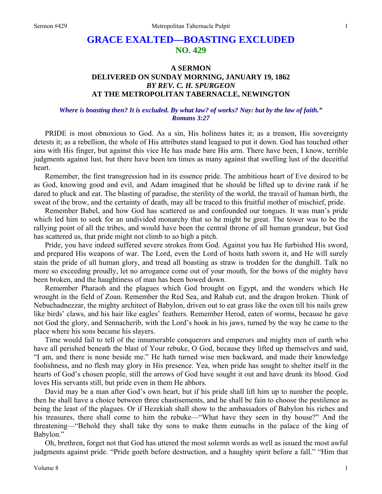## **GRACE EXALTED—BOASTING EXCLUDED NO. 429**

## **A SERMON DELIVERED ON SUNDAY MORNING, JANUARY 19, 1862**  *BY REV. C. H. SPURGEON*  **AT THE METROPOLITAN TABERNACLE, NEWINGTON**

## *Where is boasting then? It is excluded. By what law? of works? Nay: but by the law of faith." Romans 3:27*

PRIDE is most obnoxious to God. As a sin, His holiness hates it; as a treason, His sovereignty detests it; as a rebellion, the whole of His attributes stand leagued to put it down. God has touched other sins with His finger, but against this vice He has made bare His arm. There have been, I know, terrible judgments against lust, but there have been ten times as many against that swelling lust of the deceitful heart.

Remember, the first transgression had in its essence pride. The ambitious heart of Eve desired to be as God, knowing good and evil, and Adam imagined that he should be lifted up to divine rank if he dared to pluck and eat. The blasting of paradise, the sterility of the world, the travail of human birth, the sweat of the brow, and the certainty of death, may all be traced to this fruitful mother of mischief, pride.

Remember Babel, and how God has scattered us and confounded our tongues. It was man's pride which led him to seek for an undivided monarchy that so he might be great. The tower was to be the rallying point of all the tribes, and would have been the central throne of all human grandeur, but God has scattered us, that pride might not climb to so high a pitch.

Pride, you have indeed suffered severe strokes from God. Against you has He furbished His sword, and prepared His weapons of war. The Lord, even the Lord of hosts hath sworn it, and He will surely stain the pride of all human glory, and tread all boasting as straw is trodden for the dunghill. Talk no more so exceeding proudly, let no arrogance come out of your mouth, for the bows of the mighty have been broken, and the haughtiness of man has been bowed down.

Remember Pharaoh and the plagues which God brought on Egypt, and the wonders which He wrought in the field of Zoan. Remember the Red Sea, and Rahab cut, and the dragon broken. Think of Nebuchadnezzar, the mighty architect of Babylon, driven out to eat grass like the oxen till his nails grew like birds' claws, and his hair like eagles' feathers. Remember Herod, eaten of worms, because he gave not God the glory, and Sennacherib, with the Lord's hook in his jaws, turned by the way he came to the place where his sons became his slayers.

Time would fail to tell of the innumerable conquerors and emperors and mighty men of earth who have all perished beneath the blast of Your rebuke, O God, because they lifted up themselves and said, "I am, and there is none beside me." He hath turned wise men backward, and made their knowledge foolishness, and no flesh may glory in His presence. Yea, when pride has sought to shelter itself in the hearts of God's chosen people, still the arrows of God have sought it out and have drunk its blood. God loves His servants still, but pride even in them He abhors.

David may be a man after God's own heart, but if his pride shall lift him up to number the people, then he shall have a choice between three chastisements, and he shall be fain to choose the pestilence as being the least of the plagues. Or if Hezekiah shall show to the ambassadors of Babylon his riches and his treasures, there shall come to him the rebuke—"What have they seen in thy house?" And the threatening—"Behold they shall take thy sons to make them eunuchs in the palace of the king of Babylon."

Oh, brethren, forget not that God has uttered the most solemn words as well as issued the most awful judgments against pride. "Pride goeth before destruction, and a haughty spirit before a fall." "Him that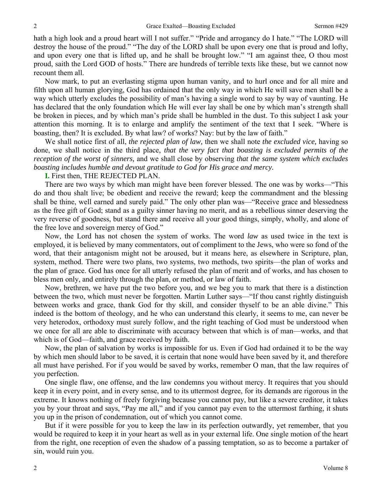hath a high look and a proud heart will I not suffer." "Pride and arrogancy do I hate." "The LORD will destroy the house of the proud." "The day of the LORD shall be upon every one that is proud and lofty, and upon every one that is lifted up, and he shall be brought low." "I am against thee, O thou most proud, saith the Lord GOD of hosts." There are hundreds of terrible texts like these, but we cannot now recount them all.

Now mark, to put an everlasting stigma upon human vanity, and to hurl once and for all mire and filth upon all human glorying, God has ordained that the only way in which He will save men shall be a way which utterly excludes the possibility of man's having a single word to say by way of vaunting. He has declared that the only foundation which He will ever lay shall be one by which man's strength shall be broken in pieces, and by which man's pride shall be humbled in the dust. To this subject I ask your attention this morning. It is to enlarge and amplify the sentiment of the text that I seek. "Where is boasting, then? It is excluded. By what law? of works? Nay: but by the law of faith."

We shall notice first of all, *the rejected plan of law,* then we shall note *the excluded vice,* having so done, we shall notice in the third place, *that the very fact that boasting is excluded permits of the reception of the worst of sinners,* and we shall close by observing *that the same system which excludes boasting includes humble and devout gratitude to God for His grace and mercy.* 

**I.** First then, THE REJECTED PLAN.

There are two ways by which man might have been forever blessed. The one was by works—"This do and thou shalt live; be obedient and receive the reward; keep the commandment and the blessing shall be thine, well earned and surely paid." The only other plan was—"Receive grace and blessedness as the free gift of God; stand as a guilty sinner having no merit, and as a rebellious sinner deserving the very reverse of goodness, but stand there and receive all your good things, simply, wholly, and alone of the free love and sovereign mercy of God."

Now, the Lord has not chosen the system of works. The word *law* as used twice in the text is employed, it is believed by many commentators, out of compliment to the Jews, who were so fond of the word, that their antagonism might not be aroused, but it means here, as elsewhere in Scripture, plan, system, method. There were two plans, two systems, two methods, two spirits—the plan of works and the plan of grace. God has once for all utterly refused the plan of merit and of works, and has chosen to bless men only, and entirely through the plan, or method, or law of faith.

Now, brethren, we have put the two before you, and we beg you to mark that there is a distinction between the two, which must never be forgotten. Martin Luther says—"If thou canst rightly distinguish between works and grace, thank God for thy skill, and consider thyself to be an able divine." This indeed is the bottom of theology, and he who can understand this clearly, it seems to me, can never be very heterodox, orthodoxy must surely follow, and the right teaching of God must be understood when we once for all are able to discriminate with accuracy between that which is of man—works, and that which is of God—faith, and grace received by faith.

Now, the plan of salvation by works is impossible for us. Even if God had ordained it to be the way by which men should labor to be saved, it is certain that none would have been saved by it, and therefore all must have perished. For if you would be saved by works, remember O man, that the law requires of you perfection.

One single flaw, one offense, and the law condemns you without mercy. It requires that you should keep it in every point, and in every sense, and to its uttermost degree, for its demands are rigorous in the extreme. It knows nothing of freely forgiving because you cannot pay, but like a severe creditor, it takes you by your throat and says, "Pay me all," and if you cannot pay even to the uttermost farthing, it shuts you up in the prison of condemnation, out of which you cannot come.

But if it were possible for you to keep the law in its perfection outwardly, yet remember, that you would be required to keep it in your heart as well as in your external life. One single motion of the heart from the right, one reception of even the shadow of a passing temptation, so as to become a partaker of sin, would ruin you.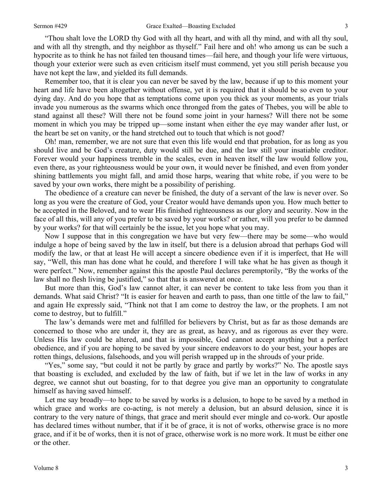"Thou shalt love the LORD thy God with all thy heart, and with all thy mind, and with all thy soul, and with all thy strength, and thy neighbor as thyself." Fail here and oh! who among us can be such a hypocrite as to think he has not failed ten thousand times—fail here, and though your life were virtuous, though your exterior were such as even criticism itself must commend, yet you still perish because you have not kept the law, and yielded its full demands.

Remember too, that it is clear you can never be saved by the law, because if up to this moment your heart and life have been altogether without offense, yet it is required that it should be so even to your dying day. And do you hope that as temptations come upon you thick as your moments, as your trials invade you numerous as the swarms which once thronged from the gates of Thebes, you will be able to stand against all these? Will there not be found some joint in your harness? Will there not be some moment in which you may be tripped up—some instant when either the eye may wander after lust, or the heart be set on vanity, or the hand stretched out to touch that which is not good?

Oh! man, remember, we are not sure that even this life would end that probation, for as long as you should live and be God's creature, duty would still be due, and the law still your insatiable creditor. Forever would your happiness tremble in the scales, even in heaven itself the law would follow you, even there, as your righteousness would be your own, it would never be finished, and even from yonder shining battlements you might fall, and amid those harps, wearing that white robe, if you were to be saved by your own works, there might be a possibility of perishing.

The obedience of a creature can never be finished, the duty of a servant of the law is never over. So long as you were the creature of God, your Creator would have demands upon you. How much better to be accepted in the Beloved, and to wear His finished righteousness as our glory and security. Now in the face of all this, will any of you prefer to be saved by your works? or rather, will you prefer to be damned by your works? for that will certainly be the issue, let you hope what you may.

Now I suppose that in this congregation we have but very few—there may be some—who would indulge a hope of being saved by the law in itself, but there is a delusion abroad that perhaps God will modify the law, or that at least He will accept a sincere obedience even if it is imperfect, that He will say, "Well, this man has done what he could, and therefore I will take what he has given as though it were perfect." Now, remember against this the apostle Paul declares peremptorily, "By the works of the law shall no flesh living be justified," so that that is answered at once.

But more than this, God's law cannot alter, it can never be content to take less from you than it demands. What said Christ? "It is easier for heaven and earth to pass, than one tittle of the law to fail," and again He expressly said, "Think not that I am come to destroy the law, or the prophets. I am not come to destroy, but to fulfill."

The law's demands were met and fulfilled for believers by Christ, but as far as those demands are concerned to those who are under it, they are as great, as heavy, and as rigorous as ever they were. Unless His law could be altered, and that is impossible, God cannot accept anything but a perfect obedience, and if you are hoping to be saved by your sincere endeavors to do your best, your hopes are rotten things, delusions, falsehoods, and you will perish wrapped up in the shrouds of your pride.

"Yes," some say, "but could it not be partly by grace and partly by works?" No. The apostle says that boasting is excluded, and excluded by the law of faith, but if we let in the law of works in any degree, we cannot shut out boasting, for to that degree you give man an opportunity to congratulate himself as having saved himself.

Let me say broadly—to hope to be saved by works is a delusion, to hope to be saved by a method in which grace and works are co-acting, is not merely a delusion, but an absurd delusion, since it is contrary to the very nature of things, that grace and merit should ever mingle and co-work. Our apostle has declared times without number, that if it be of grace, it is not of works, otherwise grace is no more grace, and if it be of works, then it is not of grace, otherwise work is no more work. It must be either one or the other.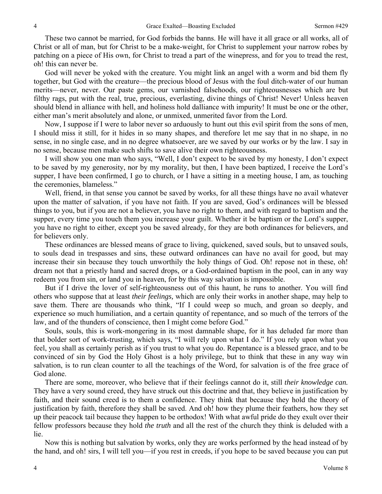These two cannot be married, for God forbids the banns. He will have it all grace or all works, all of Christ or all of man, but for Christ to be a make-weight, for Christ to supplement your narrow robes by patching on a piece of His own, for Christ to tread a part of the winepress, and for you to tread the rest, oh! this can never be.

God will never be yoked with the creature. You might link an angel with a worm and bid them fly together, but God with the creature—the precious blood of Jesus with the foul ditch-water of our human merits—never, never. Our paste gems, our varnished falsehoods, our righteousnesses which are but filthy rags, put with the real, true, precious, everlasting, divine things of Christ! Never! Unless heaven should blend in alliance with hell, and holiness hold dalliance with impurity! It must be one or the other, either man's merit absolutely and alone, or unmixed, unmerited favor from the Lord.

Now, I suppose if I were to labor never so arduously to hunt out this evil spirit from the sons of men, I should miss it still, for it hides in so many shapes, and therefore let me say that in no shape, in no sense, in no single case, and in no degree whatsoever, are we saved by our works or by the law. I say in no sense, because men make such shifts to save alive their own righteousness.

I will show you one man who says, "Well, I don't expect to be saved by my honesty, I don't expect to be saved by my generosity, nor by my morality, but then, I have been baptized, I receive the Lord's supper, I have been confirmed, I go to church, or I have a sitting in a meeting house, I am, as touching the ceremonies, blameless."

Well, friend, in that sense you cannot be saved by works, for all these things have no avail whatever upon the matter of salvation, if you have not faith. If you are saved, God's ordinances will be blessed things to you, but if you are not a believer, you have no right to them, and with regard to baptism and the supper, every time you touch them you increase your guilt. Whether it be baptism or the Lord's supper, you have no right to either, except you be saved already, for they are both ordinances for believers, and for believers only.

These ordinances are blessed means of grace to living, quickened, saved souls, but to unsaved souls, to souls dead in trespasses and sins, these outward ordinances can have no avail for good, but may increase their sin because they touch unworthily the holy things of God. Oh! repose not in these, oh! dream not that a priestly hand and sacred drops, or a God-ordained baptism in the pool, can in any way redeem you from sin, or land you in heaven, for by this way salvation is impossible.

But if I drive the lover of self-righteousness out of this haunt, he runs to another. You will find others who suppose that at least *their feelings,* which are only their works in another shape, may help to save them. There are thousands who think, "If I could weep so much, and groan so deeply, and experience so much humiliation, and a certain quantity of repentance, and so much of the terrors of the law, and of the thunders of conscience, then I might come before God."

Souls, souls, this is work-mongering in its most damnable shape, for it has deluded far more than that bolder sort of work-trusting, which says, "I will rely upon what I do." If you rely upon what you feel, you shall as certainly perish as if you trust to what you do. Repentance is a blessed grace, and to be convinced of sin by God the Holy Ghost is a holy privilege, but to think that these in any way win salvation, is to run clean counter to all the teachings of the Word, for salvation is of the free grace of God alone.

There are some, moreover, who believe that if their feelings cannot do it, still *their knowledge can.* They have a very sound creed, they have struck out this doctrine and that, they believe in justification by faith, and their sound creed is to them a confidence. They think that because they hold the theory of justification by faith, therefore they shall be saved. And oh! how they plume their feathers, how they set up their peacock tail because they happen to be orthodox! With what awful pride do they exult over their fellow professors because they hold *the truth* and all the rest of the church they think is deluded with a lie.

Now this is nothing but salvation by works, only they are works performed by the head instead of by the hand, and oh! sirs, I will tell you—if you rest in creeds, if you hope to be saved because you can put

 $\Delta$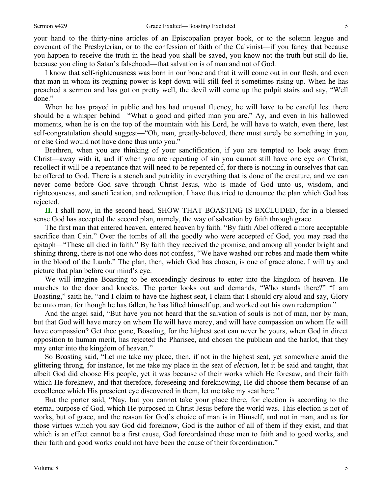your hand to the thirty-nine articles of an Episcopalian prayer book, or to the solemn league and covenant of the Presbyterian, or to the confession of faith of the Calvinist—if you fancy that because you happen to receive the truth in the head you shall be saved, you know not the truth but still do lie, because you cling to Satan's falsehood—that salvation is of man and not of God.

I know that self-righteousness was born in our bone and that it will come out in our flesh, and even that man in whom its reigning power is kept down will still feel it sometimes rising up. When he has preached a sermon and has got on pretty well, the devil will come up the pulpit stairs and say, "Well done."

When he has prayed in public and has had unusual fluency, he will have to be careful lest there should be a whisper behind—"What a good and gifted man you are." Ay, and even in his hallowed moments, when he is on the top of the mountain with his Lord, he will have to watch, even there, lest self-congratulation should suggest—"Oh, man, greatly-beloved, there must surely be something in you, or else God would not have done thus unto you."

Brethren, when you are thinking of your sanctification, if you are tempted to look away from Christ—away with it, and if when you are repenting of sin you cannot still have one eye on Christ, recollect it will be a repentance that will need to be repented of, for there is nothing in ourselves that can be offered to God. There is a stench and putridity in everything that is done of the creature, and we can never come before God save through Christ Jesus, who is made of God unto us, wisdom, and righteousness, and sanctification, and redemption. I have thus tried to denounce the plan which God has rejected.

**II.** I shall now, in the second head, SHOW THAT BOASTING IS EXCLUDED, for in a blessed sense God has accepted the second plan, namely, the way of salvation by faith through grace.

The first man that entered heaven, entered heaven by faith. "By faith Abel offered a more acceptable sacrifice than Cain." Over the tombs of all the goodly who were accepted of God, you may read the epitaph—"These all died in faith." By faith they received the promise, and among all yonder bright and shining throng, there is not one who does not confess, "We have washed our robes and made them white in the blood of the Lamb." The plan, then, which God has chosen, is one of grace alone. I will try and picture that plan before our mind's eye.

We will imagine Boasting to be exceedingly desirous to enter into the kingdom of heaven. He marches to the door and knocks. The porter looks out and demands, "Who stands there?" "I am Boasting," saith he, "and I claim to have the highest seat, I claim that I should cry aloud and say, Glory be unto man, for though he has fallen, he has lifted himself up, and worked out his own redemption."

And the angel said, "But have you not heard that the salvation of souls is not of man, nor by man, but that God will have mercy on whom He will have mercy, and will have compassion on whom He will have compassion? Get thee gone, Boasting, for the highest seat can never be yours, when God in direct opposition to human merit, has rejected the Pharisee, and chosen the publican and the harlot, that they may enter into the kingdom of heaven."

So Boasting said, "Let me take my place, then, if not in the highest seat, yet somewhere amid the glittering throng, for instance, let me take my place in the seat of *election,* let it be said and taught, that albeit God did choose His people, yet it was because of their works which He foresaw, and their faith which He foreknew, and that therefore, foreseeing and foreknowing, He did choose them because of an excellence which His prescient eye discovered in them, let me take my seat here."

But the porter said, "Nay, but you cannot take your place there, for election is according to the eternal purpose of God, which He purposed in Christ Jesus before the world was. This election is not of works, but of grace, and the reason for God's choice of man is in Himself, and not in man, and as for those virtues which you say God did foreknow, God is the author of all of them if they exist, and that which is an effect cannot be a first cause, God foreordained these men to faith and to good works, and their faith and good works could not have been the cause of their foreordination."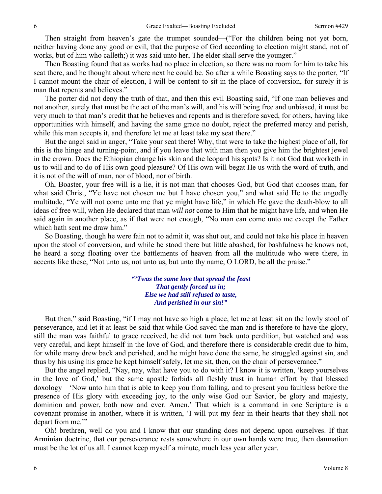Then straight from heaven's gate the trumpet sounded—("For the children being not yet born, neither having done any good or evil, that the purpose of God according to election might stand, not of works, but of him who calleth;) it was said unto her, The elder shall serve the younger."

Then Boasting found that as works had no place in election, so there was no room for him to take his seat there, and he thought about where next he could be. So after a while Boasting says to the porter, "If I cannot mount the chair of election, I will be content to sit in the place of conversion, for surely it is man that repents and believes."

The porter did not deny the truth of that, and then this evil Boasting said, "If one man believes and not another, surely that must be the act of the man's will, and his will being free and unbiased, it must be very much to that man's credit that he believes and repents and is therefore saved, for others, having like opportunities with himself, and having the same grace no doubt, reject the preferred mercy and perish, while this man accepts it, and therefore let me at least take my seat there."

But the angel said in anger, "Take your seat there! Why, that were to take the highest place of all, for this is the hinge and turning-point, and if you leave that with man then you give him the brightest jewel in the crown. Does the Ethiopian change his skin and the leopard his spots? Is it not God that worketh in us to will and to do of His own good pleasure? Of His own will begat He us with the word of truth, and it is not of the will of man, nor of blood, nor of birth.

Oh, Boaster, your free will is a lie, it is not man that chooses God, but God that chooses man, for what said Christ, "Ye have not chosen me but I have chosen you," and what said He to the ungodly multitude, "Ye will not come unto me that ye might have life," in which He gave the death-blow to all ideas of free will, when He declared that man *will not* come to Him that he might have life, and when He said again in another place, as if that were not enough, "No man can come unto me except the Father which hath sent me draw him."

So Boasting, though he were fain not to admit it, was shut out, and could not take his place in heaven upon the stool of conversion, and while he stood there but little abashed, for bashfulness he knows not, he heard a song floating over the battlements of heaven from all the multitude who were there, in accents like these, "Not unto us, not unto us, but unto thy name, O LORD, be all the praise."

> *"'Twas the same love that spread the feast That gently forced us in; Else we had still refused to taste, And perished in our sin!"*

But then," said Boasting, "if I may not have so high a place, let me at least sit on the lowly stool of perseverance, and let it at least be said that while God saved the man and is therefore to have the glory, still the man was faithful to grace received, he did not turn back unto perdition, but watched and was very careful, and kept himself in the love of God, and therefore there is considerable credit due to him, for while many drew back and perished, and he might have done the same, he struggled against sin, and thus by his using his grace he kept himself safely, let me sit, then, on the chair of perseverance."

But the angel replied, "Nay, nay, what have you to do with it? I know it is written, 'keep yourselves in the love of God,' but the same apostle forbids all fleshly trust in human effort by that blessed doxology—'Now unto him that is able to keep you from falling, and to present you faultless before the presence of His glory with exceeding joy, to the only wise God our Savior, be glory and majesty, dominion and power, both now and ever. Amen.' That which is a command in one Scripture is a covenant promise in another, where it is written, 'I will put my fear in their hearts that they shall not depart from me."

Oh! brethren, well do you and I know that our standing does not depend upon ourselves. If that Arminian doctrine, that our perseverance rests somewhere in our own hands were true, then damnation must be the lot of us all. I cannot keep myself a minute, much less year after year.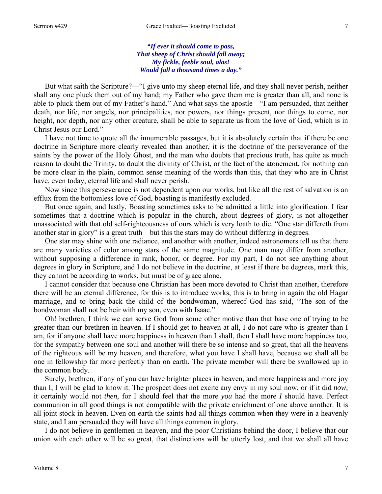*"If ever it should come to pass, That sheep of Christ should fall away; My fickle, feeble soul, alas! Would fall a thousand times a day."* 

But what saith the Scripture?—"I give unto my sheep eternal life, and they shall never perish, neither shall any one pluck them out of my hand; my Father who gave them me is greater than all, and none is able to pluck them out of my Father's hand." And what says the apostle—"I am persuaded, that neither death, nor life, nor angels, nor principalities, nor powers, nor things present, nor things to come, nor height, nor depth, nor any other creature, shall be able to separate us from the love of God, which is in Christ Jesus our Lord."

I have not time to quote all the innumerable passages, but it is absolutely certain that if there be one doctrine in Scripture more clearly revealed than another, it is the doctrine of the perseverance of the saints by the power of the Holy Ghost, and the man who doubts that precious truth, has quite as much reason to doubt the Trinity, to doubt the divinity of Christ, or the fact of the atonement, for nothing can be more clear in the plain, common sense meaning of the words than this, that they who are in Christ have, even today, eternal life and shall never perish.

Now since this perseverance is not dependent upon our works, but like all the rest of salvation is an efflux from the bottomless love of God, boasting is manifestly excluded.

But once again, and lastly, Boasting sometimes asks to be admitted a little into glorification. I fear sometimes that a doctrine which is popular in the church, about degrees of glory, is not altogether unassociated with that old self-righteousness of ours which is very loath to die. "One star differeth from another star in glory" is a great truth—but this the stars may do without differing in degrees.

One star may shine with one radiance, and another with another, indeed astronomers tell us that there are many varieties of color among stars of the same magnitude. One man may differ from another, without supposing a difference in rank, honor, or degree. For my part, I do not see anything about degrees in glory in Scripture, and I do not believe in the doctrine, at least if there be degrees, mark this, they cannot be according to works, but must be of grace alone.

I cannot consider that because one Christian has been more devoted to Christ than another, therefore there will be an eternal difference, for this is to introduce works, this is to bring in again the old Hagar marriage, and to bring back the child of the bondwoman, whereof God has said, "The son of the bondwoman shall not be heir with my son, even with Isaac."

Oh! brethren, I think we can serve God from some other motive than that base one of trying to be greater than our brethren in heaven. If I should get to heaven at all, I do not care who is greater than I am, for if anyone shall have more happiness in heaven than I shall, then I shall have more happiness too, for the sympathy between one soul and another will there be so intense and so great, that all the heavens of the righteous will be my heaven, and therefore, what you have I shall have, because we shall all be one in fellowship far more perfectly than on earth. The private member will there be swallowed up in the common body.

Surely, brethren, if any of you can have brighter places in heaven, and more happiness and more joy than I, I will be glad to know it. The prospect does not excite any envy in my soul now, or if it did *now,* it certainly would not *then,* for I should feel that the more *you* had the more *I* should have. Perfect communion in all good things is not compatible with the private enrichment of one above another. It is all joint stock in heaven. Even on earth the saints had all things common when they were in a heavenly state, and I am persuaded they will have all things common in glory.

I do not believe in gentlemen in heaven, and the poor Christians behind the door, I believe that our union with each other will be so great, that distinctions will be utterly lost, and that we shall all have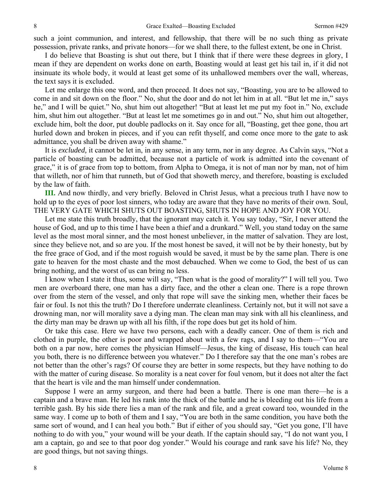such a joint communion, and interest, and fellowship, that there will be no such thing as private possession, private ranks, and private honors—for we shall there, to the fullest extent, be one in Christ.

I do believe that Boasting is shut out there, but I think that if there were these degrees in glory, I mean if they are dependent on works done on earth, Boasting would at least get his tail in, if it did not insinuate its whole body, it would at least get some of its unhallowed members over the wall, whereas, the text says it is excluded.

Let me enlarge this one word, and then proceed. It does not say, "Boasting, you are to be allowed to come in and sit down on the floor." No, shut the door and do not let him in at all. "But let me in," says he," and I will be quiet." No, shut him out altogether! "But at least let me put my foot in." No, exclude him, shut him out altogether. "But at least let me sometimes go in and out." No, shut him out altogether, exclude him, bolt the door, put double padlocks on it. Say once for all, "Boasting, get thee gone, thou art hurled down and broken in pieces, and if you can refit thyself, and come once more to the gate to ask admittance, you shall be driven away with shame."

It is *excluded,* it cannot be let in, in any sense, in any term, nor in any degree. As Calvin says, "Not a particle of boasting can be admitted, because not a particle of work is admitted into the covenant of grace," it is of grace from top to bottom, from Alpha to Omega, it is not of man nor by man, not of him that willeth, nor of him that runneth, but of God that showeth mercy, and therefore, boasting is excluded by the law of faith.

**III.** And now thirdly, and very briefly. Beloved in Christ Jesus, what a precious truth I have now to hold up to the eyes of poor lost sinners, who today are aware that they have no merits of their own. Soul, THE VERY GATE WHICH SHUTS OUT BOASTING, SHUTS IN HOPE AND JOY FOR YOU.

Let me state this truth broadly, that the ignorant may catch it. You say today, "Sir, I never attend the house of God, and up to this time I have been a thief and a drunkard." Well, you stand today on the same level as the most moral sinner, and the most honest unbeliever, in the matter of salvation. They are lost, since they believe not, and so are you. If the most honest be saved, it will not be by their honesty, but by the free grace of God, and if the most roguish would be saved, it must be by the same plan. There is one gate to heaven for the most chaste and the most debauched. When we come to God, the best of us can bring nothing, and the worst of us can bring no less.

I know when I state it thus, some will say, "Then what is the good of morality?" I will tell you. Two men are overboard there, one man has a dirty face, and the other a clean one. There is a rope thrown over from the stern of the vessel, and only that rope will save the sinking men, whether their faces be fair or foul. Is not this the truth? Do I therefore underrate cleanliness. Certainly not, but it will not save a drowning man, nor will morality save a dying man. The clean man may sink with all his cleanliness, and the dirty man may be drawn up with all his filth, if the rope does but get its hold of him.

Or take this case. Here we have two persons, each with a deadly cancer. One of them is rich and clothed in purple, the other is poor and wrapped about with a few rags, and I say to them—"You are both on a par now, here comes the physician Himself—Jesus, the king of disease, His touch can heal you both, there is no difference between you whatever." Do I therefore say that the one man's robes are not better than the other's rags? Of course they are better in some respects, but they have nothing to do with the matter of curing disease. So morality is a neat cover for foul venom, but it does not alter the fact that the heart is vile and the man himself under condemnation.

Suppose I were an army surgeon, and there had been a battle. There is one man there—he is a captain and a brave man. He led his rank into the thick of the battle and he is bleeding out his life from a terrible gash. By his side there lies a man of the rank and file, and a great coward too, wounded in the same way. I come up to both of them and I say, "You are both in the same condition, you have both the same sort of wound, and I can heal you both." But if either of you should say, "Get you gone, I'll have nothing to do with you," your wound will be your death. If the captain should say, "I do not want you, I am a captain, go and see to that poor dog yonder." Would his courage and rank save his life? No, they are good things, but not saving things.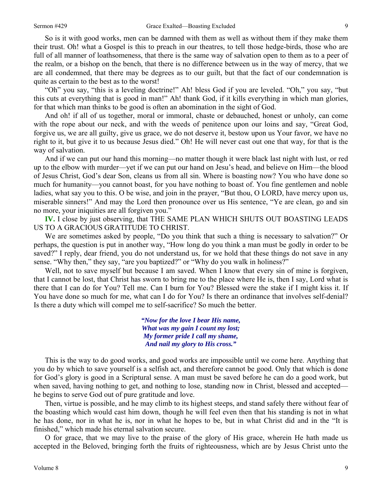So is it with good works, men can be damned with them as well as without them if they make them their trust. Oh! what a Gospel is this to preach in our theatres, to tell those hedge-birds, those who are full of all manner of loathsomeness, that there is the same way of salvation open to them as to a peer of the realm, or a bishop on the bench, that there is no difference between us in the way of mercy, that we are all condemned, that there may be degrees as to our guilt, but that the fact of our condemnation is quite as certain to the best as to the worst!

"Oh" you say, "this is a leveling doctrine!" Ah! bless God if you are leveled. "Oh," you say, "but this cuts at everything that is good in man!" Ah! thank God, if it kills everything in which man glories, for that which man thinks to be good is often an abomination in the sight of God.

And oh! if all of us together, moral or immoral, chaste or debauched, honest or unholy, can come with the rope about our neck, and with the weeds of penitence upon our loins and say, "Great God, forgive us, we are all guilty, give us grace, we do not deserve it, bestow upon us Your favor, we have no right to it, but give it to us because Jesus died." Oh! He will never cast out one that way, for that is the way of salvation.

And if we can put our hand this morning—no matter though it were black last night with lust, or red up to the elbow with murder—yet if we can put our hand on Jesu's head, and believe on Him—the blood of Jesus Christ, God's dear Son, cleans us from all sin. Where is boasting now? You who have done so much for humanity—you cannot boast, for you have nothing to boast of. You fine gentlemen and noble ladies, what say you to this. O be wise, and join in the prayer, "But thou, O LORD, have mercy upon us, miserable sinners!" And may the Lord then pronounce over us His sentence, "Ye are clean, go and sin no more, your iniquities are all forgiven you."

**IV.** I close by just observing, that THE SAME PLAN WHICH SHUTS OUT BOASTING LEADS US TO A GRACIOUS GRATITUDE TO CHRIST.

We are sometimes asked by people, "Do you think that such a thing is necessary to salvation?" Or perhaps, the question is put in another way, "How long do you think a man must be godly in order to be saved?" I reply, dear friend, you do not understand us, for we hold that these things do not save in any sense. "Why then," they say, "are you baptized?" or "Why do you walk in holiness?"

Well, not to save myself but because I am saved. When I know that every sin of mine is forgiven, that I cannot be lost, that Christ has sworn to bring me to the place where He is, then I say, Lord what is there that I can do for You? Tell me. Can I burn for You? Blessed were the stake if I might kiss it. If You have done so much for me, what can I do for You? Is there an ordinance that involves self-denial? Is there a duty which will compel me to self-sacrifice? So much the better.

> *"Now for the love I bear His name, What was my gain I count my lost; My former pride I call my shame, And nail my glory to His cross."*

This is the way to do good works, and good works are impossible until we come here. Anything that you do by which to save yourself is a selfish act, and therefore cannot be good. Only that which is done for God's glory is good in a Scriptural sense. A man must be saved before he can do a good work, but when saved, having nothing to get, and nothing to lose, standing now in Christ, blessed and accepted he begins to serve God out of pure gratitude and love.

Then, virtue is possible, and he may climb to its highest steeps, and stand safely there without fear of the boasting which would cast him down, though he will feel even then that his standing is not in what he has done, nor in what he is, nor in what he hopes to be, but in what Christ did and in the "It is finished," which made his eternal salvation secure.

O for grace, that we may live to the praise of the glory of His grace, wherein He hath made us accepted in the Beloved, bringing forth the fruits of righteousness, which are by Jesus Christ unto the

9